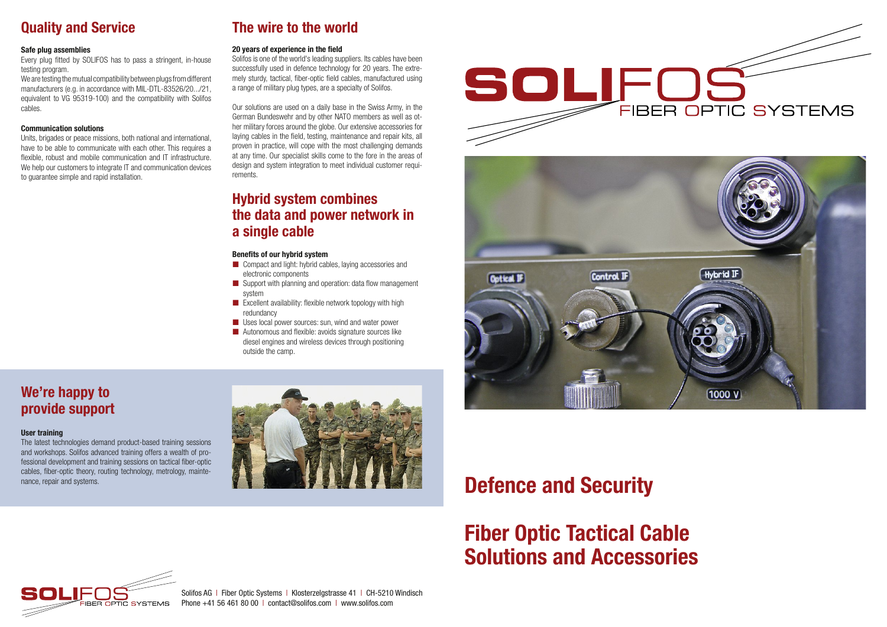# **Defence and Security**

**Fiber Optic Tactical Cable Solutions and Accessories**



## **We're happy to provide support**

#### **User training**

The latest technologies demand product-based training sessions and workshops. Solifos advanced training offers a wealth of professional development and training sessions on tactical fiber-optic cables, fiber-optic theory, routing technology, metrology, maintenance, repair and systems.



We are testing the mutual compatibility between plugs from different manufacturers (e.g. in accordance with MIL-DTL-83526/20.../21, equivalent to VG 95319-100) and the compatibility with Solifos cables.

## **Quality and Service**

#### **Safe plug assemblies**

Every plug fitted by SOLIFOS has to pass a stringent, in-house testing program.

#### **Communication solutions**

Units, brigades or peace missions, both national and international, have to be able to communicate with each other. This requires a flexible, robust and mobile communication and IT infrastructure. We help our customers to integrate IT and communication devices to guarantee simple and rapid installation.

## **The wire to the world**

#### **20 years of experience in the field**

- **Compact and light: hybrid cables, laying accessories and** electronic components
- Support with planning and operation: data flow management system
- **EXCELLENT AVAILADILITY:** flexible network topology with high redundancy
- **Uses local power sources: sun, wind and water power**
- **Autonomous and flexible: avoids signature sources like** diesel engines and wireless devices through positioning outside the camp.





Solifos AG | Fiber Optic Systems | Klosterzelgstrasse 41 | CH-5210 Windisch Phone +41 56 461 80 00 | contact@solifos.com | www.solifos.com



Solifos is one of the world's leading suppliers. Its cables have been successfully used in defence technology for 20 years. The extremely sturdy, tactical, fiber-optic field cables, manufactured using a range of military plug types, are a specialty of Solifos.

Our solutions are used on a daily base in the Swiss Army, in the German Bundeswehr and by other NATO members as well as other military forces around the globe. Our extensive accessories for laying cables in the field, testing, maintenance and repair kits, all proven in practice, will cope with the most challenging demands at any time. Our specialist skills come to the fore in the areas of design and system integration to meet individual customer requirements.

## **Hybrid system combines the data and power network in a single cable**

#### **Benefits of our hybrid system**